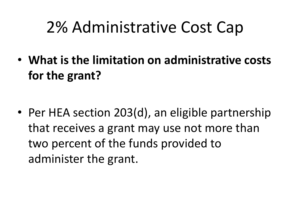• **What is the limitation on administrative costs for the grant?**

• Per HEA section 203(d), an eligible partnership that receives a grant may use not more than two percent of the funds provided to administer the grant.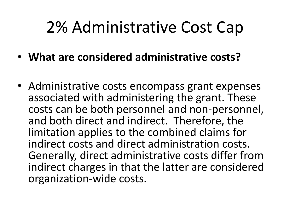- **What are considered administrative costs?**
- Administrative costs encompass grant expenses associated with administering the grant. These costs can be both personnel and non-personnel, and both direct and indirect. Therefore, the limitation applies to the combined claims for indirect costs and direct administration costs. Generally, direct administrative costs differ from indirect charges in that the latter are considered organization-wide costs.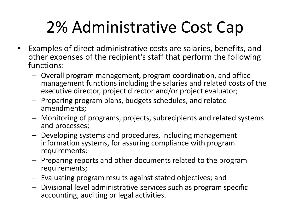- Examples of direct administrative costs are salaries, benefits, and other expenses of the recipient's staff that perform the following functions:
	- Overall program management, program coordination, and office management functions including the salaries and related costs of the executive director, project director and/or project evaluator;
	- Preparing program plans, budgets schedules, and related amendments;
	- Monitoring of programs, projects, subrecipients and related systems and processes;
	- Developing systems and procedures, including management information systems, for assuring compliance with program requirements;
	- Preparing reports and other documents related to the program requirements;
	- Evaluating program results against stated objectives; and
	- Divisional level administrative services such as program specific accounting, auditing or legal activities.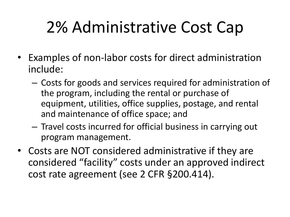- Examples of non-labor costs for direct administration include:
	- Costs for goods and services required for administration of the program, including the rental or purchase of equipment, utilities, office supplies, postage, and rental and maintenance of office space; and
	- Travel costs incurred for official business in carrying out program management.
- Costs are NOT considered administrative if they are considered "facility" costs under an approved indirect cost rate agreement (see 2 CFR §200.414).